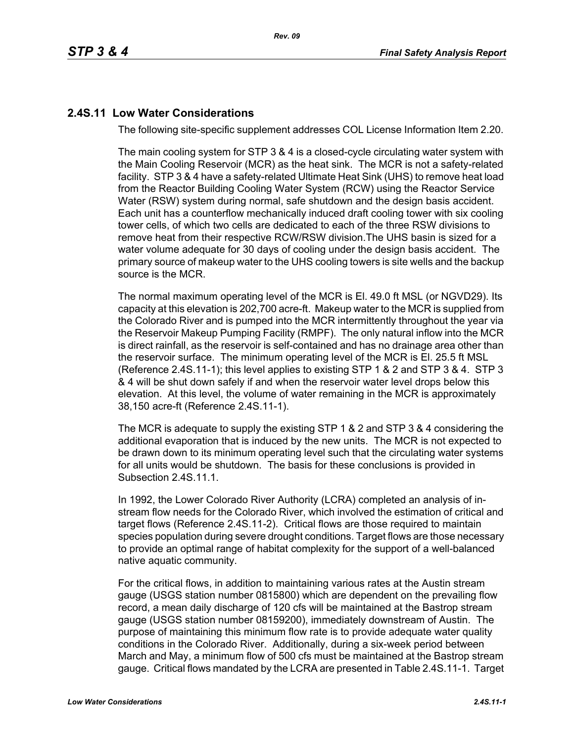## **2.4S.11 Low Water Considerations**

The following site-specific supplement addresses COL License Information Item 2.20.

The main cooling system for STP 3 & 4 is a closed-cycle circulating water system with the Main Cooling Reservoir (MCR) as the heat sink. The MCR is not a safety-related facility. STP 3 & 4 have a safety-related Ultimate Heat Sink (UHS) to remove heat load from the Reactor Building Cooling Water System (RCW) using the Reactor Service Water (RSW) system during normal, safe shutdown and the design basis accident. Each unit has a counterflow mechanically induced draft cooling tower with six cooling tower cells, of which two cells are dedicated to each of the three RSW divisions to remove heat from their respective RCW/RSW division.The UHS basin is sized for a water volume adequate for 30 days of cooling under the design basis accident. The primary source of makeup water to the UHS cooling towers is site wells and the backup source is the MCR.

The normal maximum operating level of the MCR is El. 49.0 ft MSL (or NGVD29). Its capacity at this elevation is 202,700 acre-ft. Makeup water to the MCR is supplied from the Colorado River and is pumped into the MCR intermittently throughout the year via the Reservoir Makeup Pumping Facility (RMPF). The only natural inflow into the MCR is direct rainfall, as the reservoir is self-contained and has no drainage area other than the reservoir surface. The minimum operating level of the MCR is El. 25.5 ft MSL (Reference [2.4S.11-1\)](#page-4-0); this level applies to existing STP 1 & 2 and STP 3 & 4. STP 3 & 4 will be shut down safely if and when the reservoir water level drops below this elevation. At this level, the volume of water remaining in the MCR is approximately 38,150 acre-ft (Reference [2.4S.11-1\)](#page-4-0).

The MCR is adequate to supply the existing STP 1 & 2 and STP 3 & 4 considering the additional evaporation that is induced by the new units. The MCR is not expected to be drawn down to its minimum operating level such that the circulating water systems for all units would be shutdown. The basis for these conclusions is provided in Subsection 2.4S.11.1.

In 1992, the Lower Colorado River Authority (LCRA) completed an analysis of instream flow needs for the Colorado River, which involved the estimation of critical and target flows (Reference [2.4S.11-2](#page-4-1)). Critical flows are those required to maintain species population during severe drought conditions. Target flows are those necessary to provide an optimal range of habitat complexity for the support of a well-balanced native aquatic community.

For the critical flows, in addition to maintaining various rates at the Austin stream gauge (USGS station number 0815800) which are dependent on the prevailing flow record, a mean daily discharge of 120 cfs will be maintained at the Bastrop stream gauge (USGS station number 08159200), immediately downstream of Austin. The purpose of maintaining this minimum flow rate is to provide adequate water quality conditions in the Colorado River. Additionally, during a six-week period between March and May, a minimum flow of 500 cfs must be maintained at the Bastrop stream gauge. Critical flows mandated by the LCRA are presented in Table [2.4S.11-1](#page-5-0). Target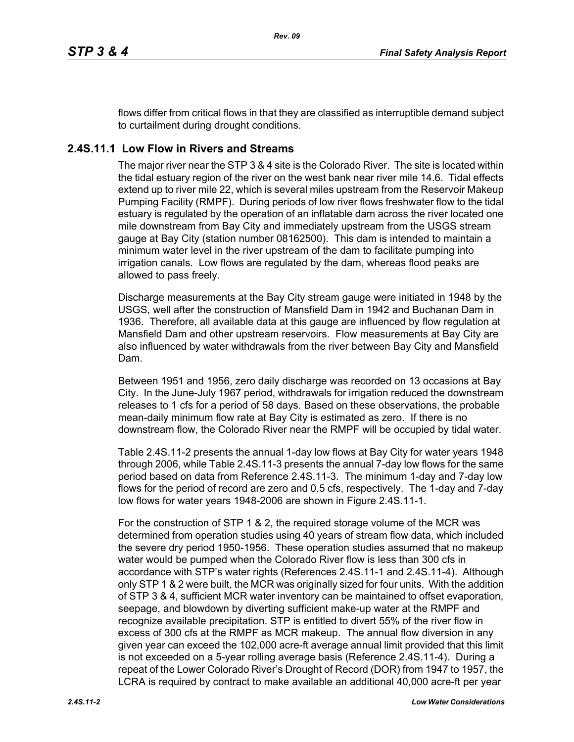flows differ from critical flows in that they are classified as interruptible demand subject to curtailment during drought conditions.

# **2.4S.11.1 Low Flow in Rivers and Streams**

The major river near the STP 3 & 4 site is the Colorado River. The site is located within the tidal estuary region of the river on the west bank near river mile 14.6. Tidal effects extend up to river mile 22, which is several miles upstream from the Reservoir Makeup Pumping Facility (RMPF). During periods of low river flows freshwater flow to the tidal estuary is regulated by the operation of an inflatable dam across the river located one mile downstream from Bay City and immediately upstream from the USGS stream gauge at Bay City (station number 08162500). This dam is intended to maintain a minimum water level in the river upstream of the dam to facilitate pumping into irrigation canals. Low flows are regulated by the dam, whereas flood peaks are allowed to pass freely.

Discharge measurements at the Bay City stream gauge were initiated in 1948 by the USGS, well after the construction of Mansfield Dam in 1942 and Buchanan Dam in 1936. Therefore, all available data at this gauge are influenced by flow regulation at Mansfield Dam and other upstream reservoirs. Flow measurements at Bay City are also influenced by water withdrawals from the river between Bay City and Mansfield Dam.

Between 1951 and 1956, zero daily discharge was recorded on 13 occasions at Bay City. In the June-July 1967 period, withdrawals for irrigation reduced the downstream releases to 1 cfs for a period of 58 days. Based on these observations, the probable mean-daily minimum flow rate at Bay City is estimated as zero. If there is no downstream flow, the Colorado River near the RMPF will be occupied by tidal water.

Table [2.4S.11-2](#page-6-0) presents the annual 1-day low flows at Bay City for water years 1948 through 2006, while Table [2.4S.11-3](#page-7-0) presents the annual 7-day low flows for the same period based on data from Reference [2.4S.11-3.](#page-4-2) The minimum 1-day and 7-day low flows for the period of record are zero and 0.5 cfs, respectively. The 1-day and 7-day low flows for water years 1948-2006 are shown in Figure [2.4S.11-1](#page-8-0).

For the construction of STP 1 & 2, the required storage volume of the MCR was determined from operation studies using 40 years of stream flow data, which included the severe dry period 1950-1956. These operation studies assumed that no makeup water would be pumped when the Colorado River flow is less than 300 cfs in accordance with STP's water rights (References [2.4S.11-1](#page-4-0) and [2.4S.11-4](#page-4-3)). Although only STP 1 & 2 were built, the MCR was originally sized for four units. With the addition of STP 3 & 4, sufficient MCR water inventory can be maintained to offset evaporation, seepage, and blowdown by diverting sufficient make-up water at the RMPF and recognize available precipitation. STP is entitled to divert 55% of the river flow in excess of 300 cfs at the RMPF as MCR makeup. The annual flow diversion in any given year can exceed the 102,000 acre-ft average annual limit provided that this limit is not exceeded on a 5-year rolling average basis (Reference [2.4S.11-4](#page-4-3)). During a repeat of the Lower Colorado River's Drought of Record (DOR) from 1947 to 1957, the LCRA is required by contract to make available an additional 40,000 acre-ft per year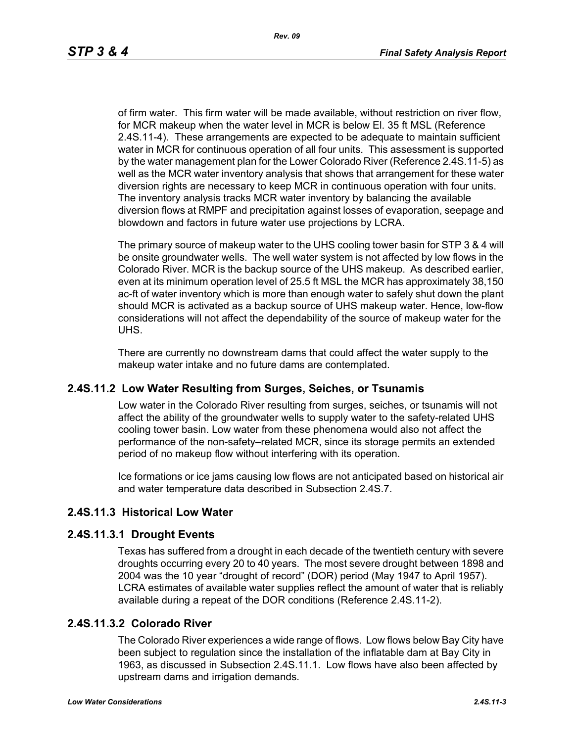of firm water. This firm water will be made available, without restriction on river flow, for MCR makeup when the water level in MCR is below El. 35 ft MSL (Reference [2.4S.11-4\)](#page-4-3). These arrangements are expected to be adequate to maintain sufficient water in MCR for continuous operation of all four units. This assessment is supported by the water management plan for the Lower Colorado River (Reference [2.4S.11-5](#page-4-4)) as well as the MCR water inventory analysis that shows that arrangement for these water diversion rights are necessary to keep MCR in continuous operation with four units. The inventory analysis tracks MCR water inventory by balancing the available diversion flows at RMPF and precipitation against losses of evaporation, seepage and blowdown and factors in future water use projections by LCRA.

The primary source of makeup water to the UHS cooling tower basin for STP 3 & 4 will be onsite groundwater wells. The well water system is not affected by low flows in the Colorado River. MCR is the backup source of the UHS makeup. As described earlier, even at its minimum operation level of 25.5 ft MSL the MCR has approximately 38,150 ac-ft of water inventory which is more than enough water to safely shut down the plant should MCR is activated as a backup source of UHS makeup water. Hence, low-flow considerations will not affect the dependability of the source of makeup water for the UHS.

There are currently no downstream dams that could affect the water supply to the makeup water intake and no future dams are contemplated.

### **2.4S.11.2 Low Water Resulting from Surges, Seiches, or Tsunamis**

Low water in the Colorado River resulting from surges, seiches, or tsunamis will not affect the ability of the groundwater wells to supply water to the safety-related UHS cooling tower basin. Low water from these phenomena would also not affect the performance of the non-safety–related MCR, since its storage permits an extended period of no makeup flow without interfering with its operation.

Ice formations or ice jams causing low flows are not anticipated based on historical air and water temperature data described in Subsection 2.4S.7.

# **2.4S.11.3 Historical Low Water**

### **2.4S.11.3.1 Drought Events**

Texas has suffered from a drought in each decade of the twentieth century with severe droughts occurring every 20 to 40 years. The most severe drought between 1898 and 2004 was the 10 year "drought of record" (DOR) period (May 1947 to April 1957). LCRA estimates of available water supplies reflect the amount of water that is reliably available during a repeat of the DOR conditions (Reference [2.4S.11-2\)](#page-4-1).

### **2.4S.11.3.2 Colorado River**

The Colorado River experiences a wide range of flows. Low flows below Bay City have been subject to regulation since the installation of the inflatable dam at Bay City in 1963, as discussed in Subsection 2.4S.11.1. Low flows have also been affected by upstream dams and irrigation demands.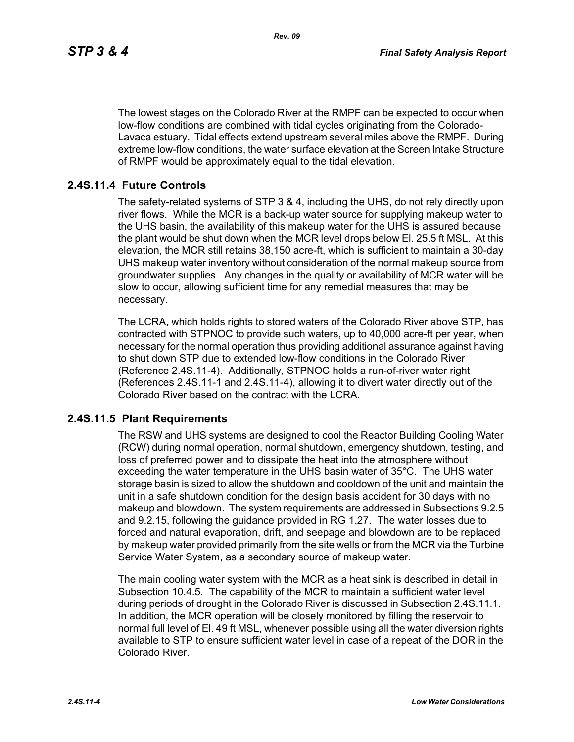The lowest stages on the Colorado River at the RMPF can be expected to occur when low-flow conditions are combined with tidal cycles originating from the Colorado-Lavaca estuary. Tidal effects extend upstream several miles above the RMPF. During extreme low-flow conditions, the water surface elevation at the Screen Intake Structure of RMPF would be approximately equal to the tidal elevation.

### **2.4S.11.4 Future Controls**

The safety-related systems of STP 3 & 4, including the UHS, do not rely directly upon river flows. While the MCR is a back-up water source for supplying makeup water to the UHS basin, the availability of this makeup water for the UHS is assured because the plant would be shut down when the MCR level drops below El. 25.5 ft MSL. At this elevation, the MCR still retains 38,150 acre-ft, which is sufficient to maintain a 30-day UHS makeup water inventory without consideration of the normal makeup source from groundwater supplies. Any changes in the quality or availability of MCR water will be slow to occur, allowing sufficient time for any remedial measures that may be necessary.

The LCRA, which holds rights to stored waters of the Colorado River above STP, has contracted with STPNOC to provide such waters, up to 40,000 acre-ft per year, when necessary for the normal operation thus providing additional assurance against having to shut down STP due to extended low-flow conditions in the Colorado River (Reference [2.4S.11-4\)](#page-4-3). Additionally, STPNOC holds a run-of-river water right (References [2.4S.11-1](#page-4-0) and [2.4S.11-4\)](#page-4-3), allowing it to divert water directly out of the Colorado River based on the contract with the LCRA.

### **2.4S.11.5 Plant Requirements**

The RSW and UHS systems are designed to cool the Reactor Building Cooling Water (RCW) during normal operation, normal shutdown, emergency shutdown, testing, and loss of preferred power and to dissipate the heat into the atmosphere without exceeding the water temperature in the UHS basin water of 35°C. The UHS water storage basin is sized to allow the shutdown and cooldown of the unit and maintain the unit in a safe shutdown condition for the design basis accident for 30 days with no makeup and blowdown. The system requirements are addressed in Subsections 9.2.5 and 9.2.15, following the guidance provided in RG 1.27. The water losses due to forced and natural evaporation, drift, and seepage and blowdown are to be replaced by makeup water provided primarily from the site wells or from the MCR via the Turbine Service Water System, as a secondary source of makeup water.

The main cooling water system with the MCR as a heat sink is described in detail in Subsection 10.4.5. The capability of the MCR to maintain a sufficient water level during periods of drought in the Colorado River is discussed in Subsection 2.4S.11.1. In addition, the MCR operation will be closely monitored by filling the reservoir to normal full level of El. 49 ft MSL, whenever possible using all the water diversion rights available to STP to ensure sufficient water level in case of a repeat of the DOR in the Colorado River.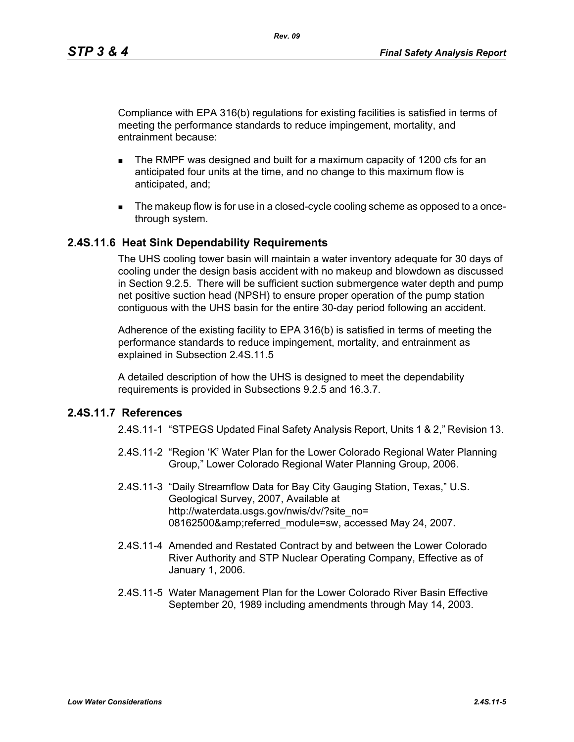Compliance with EPA 316(b) regulations for existing facilities is satisfied in terms of meeting the performance standards to reduce impingement, mortality, and entrainment because:

- The RMPF was designed and built for a maximum capacity of 1200 cfs for an anticipated four units at the time, and no change to this maximum flow is anticipated, and;
- The makeup flow is for use in a closed-cycle cooling scheme as opposed to a oncethrough system.

### **2.4S.11.6 Heat Sink Dependability Requirements**

The UHS cooling tower basin will maintain a water inventory adequate for 30 days of cooling under the design basis accident with no makeup and blowdown as discussed in Section 9.2.5. There will be sufficient suction submergence water depth and pump net positive suction head (NPSH) to ensure proper operation of the pump station contiguous with the UHS basin for the entire 30-day period following an accident.

Adherence of the existing facility to EPA 316(b) is satisfied in terms of meeting the performance standards to reduce impingement, mortality, and entrainment as explained in Subsection 2.4S.11.5

A detailed description of how the UHS is designed to meet the dependability requirements is provided in Subsections 9.2.5 and 16.3.7.

### <span id="page-4-1"></span><span id="page-4-0"></span>**2.4S.11.7 References**

2.4S.11-1 "STPEGS Updated Final Safety Analysis Report, Units 1 & 2," Revision 13.

- 2.4S.11-2 "Region 'K' Water Plan for the Lower Colorado Regional Water Planning Group," Lower Colorado Regional Water Planning Group, 2006.
- <span id="page-4-2"></span>2.4S.11-3 "Daily Streamflow Data for Bay City Gauging Station, Texas," U.S. Geological Survey, 2007, Available at http://waterdata.usgs.gov/nwis/dv/?site\_no= 08162500&referred\_module=sw, accessed May 24, 2007.
- <span id="page-4-3"></span>2.4S.11-4 Amended and Restated Contract by and between the Lower Colorado River Authority and STP Nuclear Operating Company, Effective as of January 1, 2006.
- <span id="page-4-4"></span>2.4S.11-5 Water Management Plan for the Lower Colorado River Basin Effective September 20, 1989 including amendments through May 14, 2003.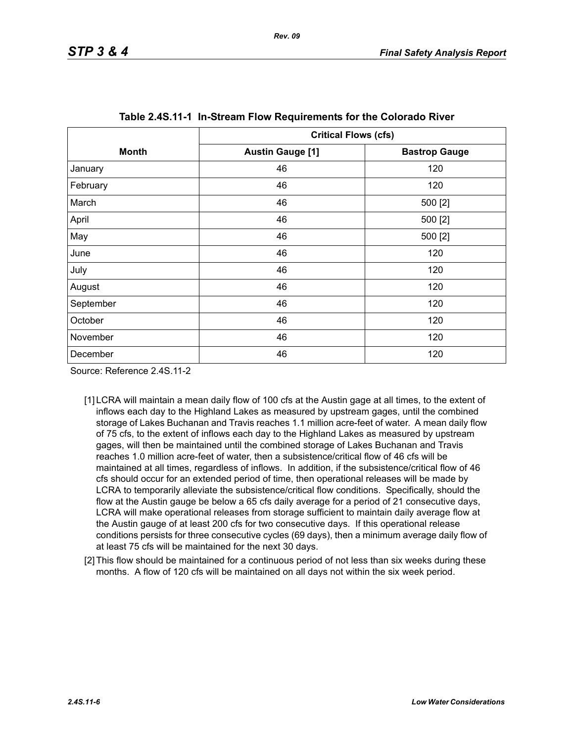<span id="page-5-0"></span>

|              |                         | <b>Critical Flows (cfs)</b> |  |  |
|--------------|-------------------------|-----------------------------|--|--|
| <b>Month</b> | <b>Austin Gauge [1]</b> | <b>Bastrop Gauge</b>        |  |  |
| January      | 46                      | 120                         |  |  |
| February     | 46                      | 120                         |  |  |
| March        | 46                      | 500 [2]                     |  |  |
| April        | 46                      | 500 [2]                     |  |  |
| May          | 46                      | 500 [2]                     |  |  |
| June         | 46                      | 120                         |  |  |
| July         | 46                      | 120                         |  |  |
| August       | 46                      | 120                         |  |  |
| September    | 46                      | 120                         |  |  |
| October      | 46                      | 120                         |  |  |
| November     | 46                      | 120                         |  |  |
| December     | 46                      | 120                         |  |  |

Source: Reference 2.4S.11-2

- [1] LCRA will maintain a mean daily flow of 100 cfs at the Austin gage at all times, to the extent of inflows each day to the Highland Lakes as measured by upstream gages, until the combined storage of Lakes Buchanan and Travis reaches 1.1 million acre-feet of water. A mean daily flow of 75 cfs, to the extent of inflows each day to the Highland Lakes as measured by upstream gages, will then be maintained until the combined storage of Lakes Buchanan and Travis reaches 1.0 million acre-feet of water, then a subsistence/critical flow of 46 cfs will be maintained at all times, regardless of inflows. In addition, if the subsistence/critical flow of 46 cfs should occur for an extended period of time, then operational releases will be made by LCRA to temporarily alleviate the subsistence/critical flow conditions. Specifically, should the flow at the Austin gauge be below a 65 cfs daily average for a period of 21 consecutive days, LCRA will make operational releases from storage sufficient to maintain daily average flow at the Austin gauge of at least 200 cfs for two consecutive days. If this operational release conditions persists for three consecutive cycles (69 days), then a minimum average daily flow of at least 75 cfs will be maintained for the next 30 days.
- <span id="page-5-1"></span>[2] This flow should be maintained for a continuous period of not less than six weeks during these months. A flow of 120 cfs will be maintained on all days not within the six week period.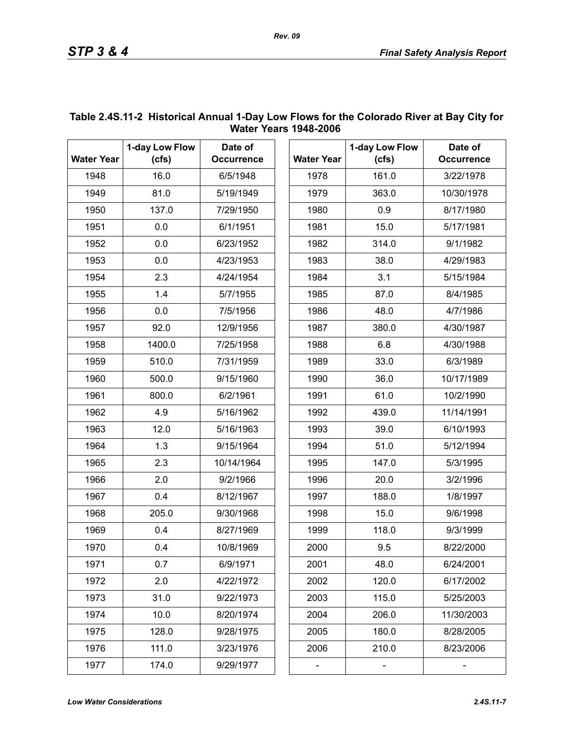| <b>Water Year</b> | 1-day Low Flow<br>(cfs) | Date of           |                   |       | 1-day Low Flow |
|-------------------|-------------------------|-------------------|-------------------|-------|----------------|
|                   |                         | <b>Occurrence</b> | <b>Water Year</b> | (cfs) |                |
| 1948              | 16.0                    | 6/5/1948          |                   | 1978  | 161.0          |
| 1949              | 81.0                    | 5/19/1949         |                   | 1979  | 363.0          |
| 1950              | 137.0                   | 7/29/1950         |                   | 1980  | 0.9            |
| 1951              | 0.0                     | 6/1/1951          |                   | 1981  | 15.0           |
| 1952              | 0.0                     | 6/23/1952         |                   | 1982  | 314.0          |
| 1953              | 0.0                     | 4/23/1953         |                   | 1983  | 38.0           |
| 1954              | 2.3                     | 4/24/1954         |                   | 1984  | 3.1            |
| 1955              | 1.4                     | 5/7/1955          | 1985              |       | 87.0           |
| 1956              | 0.0                     | 7/5/1956          | 1986              |       | 48.0           |
| 1957              | 92.0                    | 12/9/1956         | 1987              |       | 380.0          |
| 1958              | 1400.0                  | 7/25/1958         | 1988              |       | 6.8            |
| 1959              | 510.0                   | 7/31/1959         | 1989              |       | 33.0           |
| 1960              | 500.0                   | 9/15/1960         | 1990              |       | 36.0           |
| 1961              | 800.0                   | 6/2/1961          | 1991              |       | 61.0           |
| 1962              | 4.9                     | 5/16/1962         | 1992              |       | 439.0          |
| 1963              | 12.0                    | 5/16/1963         | 1993              |       | 39.0           |
| 1964              | 1.3                     | 9/15/1964         | 1994              |       | 51.0           |
| 1965              | 2.3                     | 10/14/1964        | 1995              |       | 147.0          |
| 1966              | 2.0                     | 9/2/1966          | 1996              |       | 20.0           |
| 1967              | 0.4                     | 8/12/1967         | 1997              |       | 188.0          |
| 1968              | 205.0                   | 9/30/1968         | 1998              |       | 15.0           |
| 1969              | 0.4                     | 8/27/1969         | 1999              |       | 118.0          |
| 1970              | 0.4                     | 10/8/1969         | 2000              |       | 9.5            |
| 1971              | 0.7                     | 6/9/1971          | 2001              |       | 48.0           |
| 1972              | 2.0                     | 4/22/1972         | 2002              |       | 120.0          |
| 1973              | 31.0                    | 9/22/1973         | 2003              |       | 115.0          |
| 1974              | 10.0                    | 8/20/1974         | 2004              |       | 206.0          |
| 1975              | 128.0                   | 9/28/1975         | 2005              |       | 180.0          |
| 1976              | 111.0                   | 3/23/1976         | 2006              |       | 210.0          |
| 1977              | 174.0                   | 9/29/1977         |                   |       |                |

### <span id="page-6-0"></span>**Table 2.4S.11-2 Historical Annual 1-Day Low Flows for the Colorado River at Bay City for Water Years 1948-2006**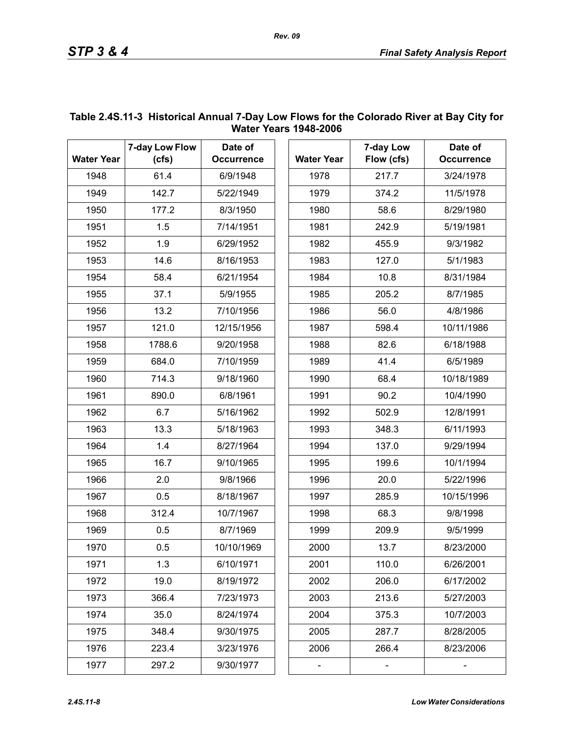|                   | 7-day Low Flow | Date of           |      |                   | 7-day Low  |
|-------------------|----------------|-------------------|------|-------------------|------------|
| <b>Water Year</b> | (cfs)          | <b>Occurrence</b> |      | <b>Water Year</b> | Flow (cfs) |
| 1948              | 61.4           | 6/9/1948          |      | 1978              | 217.7      |
| 1949              | 142.7          | 5/22/1949         |      | 1979              | 374.2      |
| 1950              | 177.2          | 8/3/1950          |      | 1980              | 58.6       |
| 1951              | 1.5            | 7/14/1951         |      | 1981              | 242.9      |
| 1952              | 1.9            | 6/29/1952         |      | 1982              | 455.9      |
| 1953              | 14.6           | 8/16/1953         |      | 1983              | 127.0      |
| 1954              | 58.4           | 6/21/1954         | 1984 |                   | 10.8       |
| 1955              | 37.1           | 5/9/1955          | 1985 |                   | 205.2      |
| 1956              | 13.2           | 7/10/1956         | 1986 |                   | 56.0       |
| 1957              | 121.0          | 12/15/1956        | 1987 |                   | 598.4      |
| 1958              | 1788.6         | 9/20/1958         | 1988 |                   | 82.6       |
| 1959              | 684.0          | 7/10/1959         | 1989 |                   | 41.4       |
| 1960              | 714.3          | 9/18/1960         | 1990 |                   | 68.4       |
| 1961              | 890.0          | 6/8/1961          | 1991 |                   | 90.2       |
| 1962              | 6.7            | 5/16/1962         | 1992 |                   | 502.9      |
| 1963              | 13.3           | 5/18/1963         | 1993 |                   | 348.3      |
| 1964              | 1.4            | 8/27/1964         | 1994 |                   | 137.0      |
| 1965              | 16.7           | 9/10/1965         | 1995 |                   | 199.6      |
| 1966              | 2.0            | 9/8/1966          | 1996 |                   | 20.0       |
| 1967              | 0.5            | 8/18/1967         | 1997 |                   | 285.9      |
| 1968              | 312.4          | 10/7/1967         | 1998 |                   | 68.3       |
| 1969              | 0.5            | 8/7/1969          | 1999 |                   | 209.9      |
| 1970              | 0.5            | 10/10/1969        | 2000 |                   | 13.7       |
| 1971              | 1.3            | 6/10/1971         | 2001 |                   | 110.0      |
| 1972              | 19.0           | 8/19/1972         | 2002 |                   | 206.0      |
| 1973              | 366.4          | 7/23/1973         | 2003 |                   | 213.6      |
| 1974              | 35.0           | 8/24/1974         | 2004 |                   | 375.3      |
| 1975              | 348.4          | 9/30/1975         | 2005 |                   | 287.7      |
| 1976              | 223.4          | 3/23/1976         | 2006 |                   | 266.4      |
| 1977              | 297.2          | 9/30/1977         |      |                   |            |

### <span id="page-7-0"></span>**Table 2.4S.11-3 Historical Annual 7-Day Low Flows for the Colorado River at Bay City for Water Years 1948-2006**